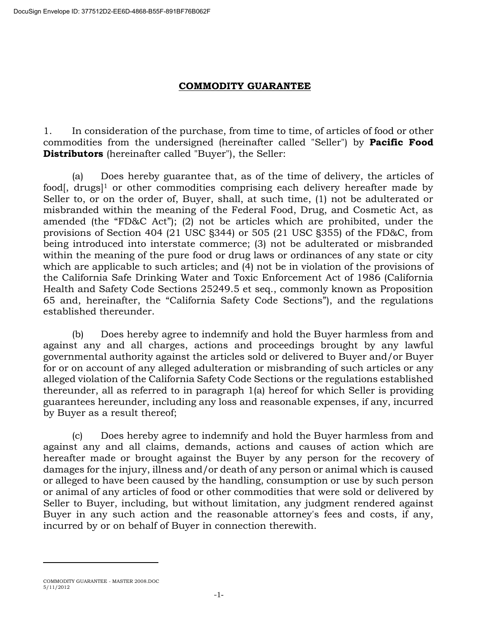## **COMMODITY GUARANTEE**

1. In consideration of the purchase, from time to time, of articles of food or other commodities from the undersigned (hereinafter called "Seller") by **Pacific Food Distributors** (hereinafter called "Buyer"), the Seller:

(a) Does hereby guarantee that, as of the time of delivery, the articles of food, drugs<sup>[1]</sup> or other commodities comprising each delivery hereafter made by Seller to, or on the order of, Buyer, shall, at such time, (1) not be adulterated or misbranded within the meaning of the Federal Food, Drug, and Cosmetic Act, as amended (the "FD&C Act"); (2) not be articles which are prohibited, under the provisions of Section 404 (21 USC §344) or 505 (21 USC §355) of the FD&C, from being introduced into interstate commerce; (3) not be adulterated or misbranded within the meaning of the pure food or drug laws or ordinances of any state or city which are applicable to such articles; and (4) not be in violation of the provisions of the California Safe Drinking Water and Toxic Enforcement Act of 1986 (California Health and Safety Code Sections 25249.5 et seq., commonly known as Proposition 65 and, hereinafter, the "California Safety Code Sections"), and the regulations established thereunder.

(b) Does hereby agree to indemnify and hold the Buyer harmless from and against any and all charges, actions and proceedings brought by any lawful governmental authority against the articles sold or delivered to Buyer and/or Buyer for or on account of any alleged adulteration or misbranding of such articles or any alleged violation of the California Safety Code Sections or the regulations established thereunder, all as referred to in paragraph 1(a) hereof for which Seller is providing guarantees hereunder, including any loss and reasonable expenses, if any, incurred by Buyer as a result thereof;

(c) Does hereby agree to indemnify and hold the Buyer harmless from and against any and all claims, demands, actions and causes of action which are hereafter made or brought against the Buyer by any person for the recovery of damages for the injury, illness and/or death of any person or animal which is caused or alleged to have been caused by the handling, consumption or use by such person or animal of any articles of food or other commodities that were sold or delivered by Seller to Buyer, including, but without limitation, any judgment rendered against Buyer in any such action and the reasonable attorney's fees and costs, if any, incurred by or on behalf of Buyer in connection therewith.

 $\overline{a}$ 

COMMODITY GUARANTEE - MASTER 2008.DOC 5/11/2012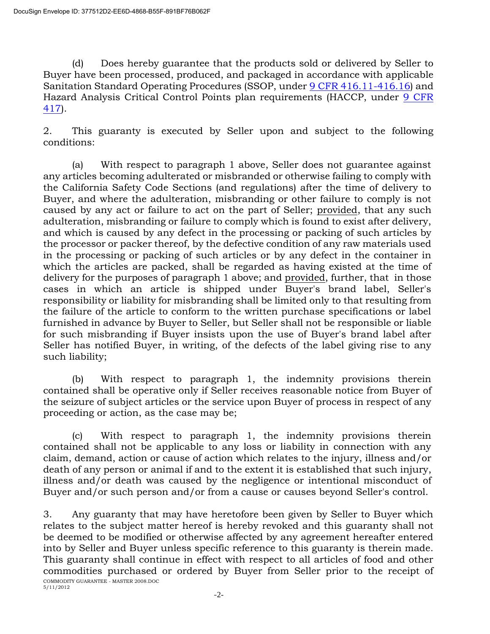(d) Does hereby guarantee that the products sold or delivered by Seller to Buyer have been processed, produced, and packaged in accordance with applicable Sanitation Standard Operating Procedures (SSOP, under [9 CFR 416.11-416.16\)](http://www.access.gpo.gov/nara/cfr/waisidx_06/9cfr416_06.html) and Hazard Analysis Critical Control Points plan requirements (HACCP, under [9 CFR](http://www.access.gpo.gov/nara/cfr/waisidx_06/9cfr416_06.html)  [417\)](http://www.access.gpo.gov/nara/cfr/waisidx_06/9cfr416_06.html).

2. This guaranty is executed by Seller upon and subject to the following conditions:

(a) With respect to paragraph 1 above, Seller does not guarantee against any articles becoming adulterated or misbranded or otherwise failing to comply with the California Safety Code Sections (and regulations) after the time of delivery to Buyer, and where the adulteration, misbranding or other failure to comply is not caused by any act or failure to act on the part of Seller; provided, that any such adulteration, misbranding or failure to comply which is found to exist after delivery, and which is caused by any defect in the processing or packing of such articles by the processor or packer thereof, by the defective condition of any raw materials used in the processing or packing of such articles or by any defect in the container in which the articles are packed, shall be regarded as having existed at the time of delivery for the purposes of paragraph 1 above; and provided, further, that in those cases in which an article is shipped under Buyer's brand label, Seller's responsibility or liability for misbranding shall be limited only to that resulting from the failure of the article to conform to the written purchase specifications or label furnished in advance by Buyer to Seller, but Seller shall not be responsible or liable for such misbranding if Buyer insists upon the use of Buyer's brand label after Seller has notified Buyer, in writing, of the defects of the label giving rise to any such liability;

(b) With respect to paragraph 1, the indemnity provisions therein contained shall be operative only if Seller receives reasonable notice from Buyer of the seizure of subject articles or the service upon Buyer of process in respect of any proceeding or action, as the case may be;

(c) With respect to paragraph 1, the indemnity provisions therein contained shall not be applicable to any loss or liability in connection with any claim, demand, action or cause of action which relates to the injury, illness and/or death of any person or animal if and to the extent it is established that such injury, illness and/or death was caused by the negligence or intentional misconduct of Buyer and/or such person and/or from a cause or causes beyond Seller's control.

COMMODITY GUARANTEE - MASTER 2008.DOC 5/11/2012 3. Any guaranty that may have heretofore been given by Seller to Buyer which relates to the subject matter hereof is hereby revoked and this guaranty shall not be deemed to be modified or otherwise affected by any agreement hereafter entered into by Seller and Buyer unless specific reference to this guaranty is therein made. This guaranty shall continue in effect with respect to all articles of food and other commodities purchased or ordered by Buyer from Seller prior to the receipt of

-2-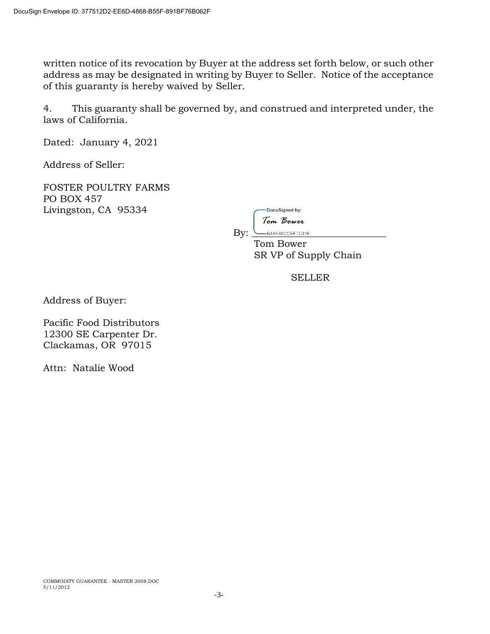written notice of its revocation by Buyer at the address set forth below, or such other address as may be designated in writing by Buyer to Seller. Notice of the acceptance of this guaranty is hereby waived by Seller.

4. This guaranty shall be governed by, and construed and interpreted under, the laws of California.

Dated: January 4, 2021

Address of Seller:

FOSTER POULTRY FARMS PO BOX 457 Livingston, CA 95334

| DocuSigned by:  |
|-----------------|
| 'Iom Bower      |
| B4AF88CCEF7D41F |

 Tom Bower SR VP of Supply Chain

SELLER

Address of Buyer:

Pacific Food Distributors 12300 SE Carpenter Dr. Clackamas, OR 97015

Attn: Natalie Wood